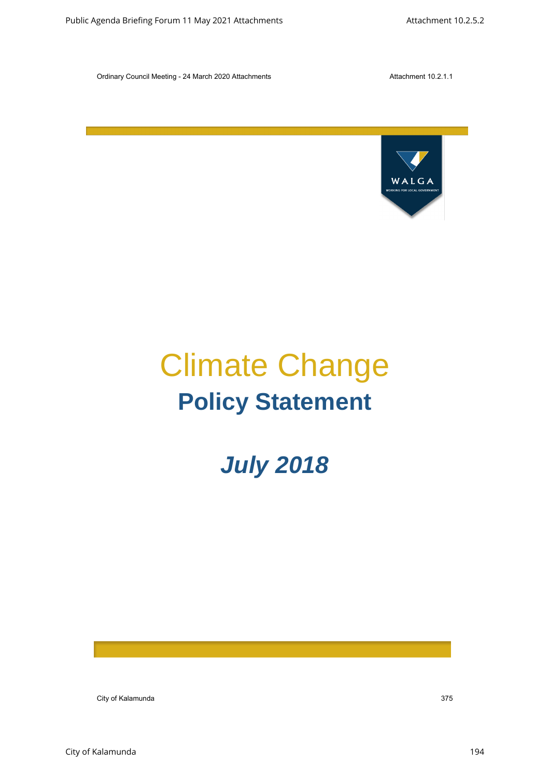

# Climate Change **Policy Statement** Childrep City of Kalamunda 375 Public Agenda Briefing For March 2021 Attachments Attachment 10.25.2.2.<br>
Climate Change<br>
Policy Statement<br>
July 2018

# *July 2018*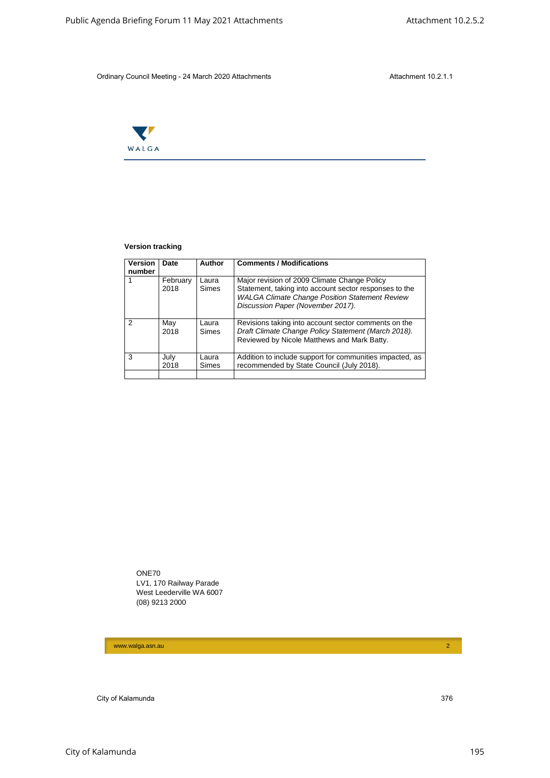

#### **Version tracking**

|                | WALGA                   |                         |                          |                                                                                                                                                                                                      |  |
|----------------|-------------------------|-------------------------|--------------------------|------------------------------------------------------------------------------------------------------------------------------------------------------------------------------------------------------|--|
|                |                         |                         |                          |                                                                                                                                                                                                      |  |
|                |                         |                         |                          |                                                                                                                                                                                                      |  |
|                | <b>Version tracking</b> |                         |                          |                                                                                                                                                                                                      |  |
|                | Version<br>number       | Date                    | Author                   | <b>Comments / Modifications</b>                                                                                                                                                                      |  |
| $\mathbf{1}$   |                         | February<br>2018        | Laura<br>Simes           | Major revision of 2009 Climate Change Policy<br>Statement, taking into account sector responses to the<br><b>WALGA Climate Change Position Statement Review</b><br>Discussion Paper (November 2017). |  |
| $\overline{c}$ |                         | May<br>2018             | Laura<br>Simes           | Revisions taking into account sector comments on the<br>Draft Climate Change Policy Statement (March 2018).<br>Reviewed by Nicole Matthews and Mark Batty.                                           |  |
| 3              |                         | July<br>2018            | Laura<br>Simes           | Addition to include support for communities impacted, as<br>recommended by State Council (July 2018).                                                                                                |  |
|                | ONE70                   | LV1, 170 Railway Parade | West Leederville WA 6007 |                                                                                                                                                                                                      |  |
|                |                         | (08) 9213 2000          |                          |                                                                                                                                                                                                      |  |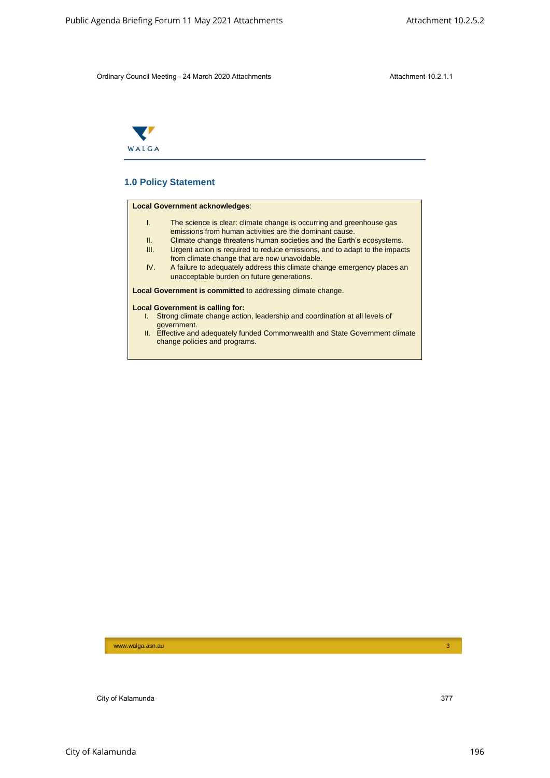

# **1.0 Policy Statement**

#### **Local Government acknowledges**:

- I. The science is clear: climate change is occurring and greenhouse gas emissions from human activities are the dominant cause. City of Karoline Science 11 May 2021 Attachments Attachments Attachment 10.2.5.2<br>
Children China Briefing For Maria 2021 Attachments<br>
The City of Kalamunda Science China Briefing Forum 2021<br>
The City of City of Kalamunda B
	- II. Climate change threatens human societies and the Earth's ecosystems.<br>III. Urgent action is required to reduce emissions, and to adapt to the impact Urgent action is required to reduce emissions, and to adapt to the impacts
	- from climate change that are now unavoidable. IV. A failure to adequately address this climate change emergency places an unacceptable burden on future generations.

**Local Government is committed** to addressing climate change.

#### **Local Government is calling for:**

- I. Strong climate change action, leadership and coordination at all levels of government.
- II. Effective and adequately funded Commonwealth and State Government climate change policies and programs.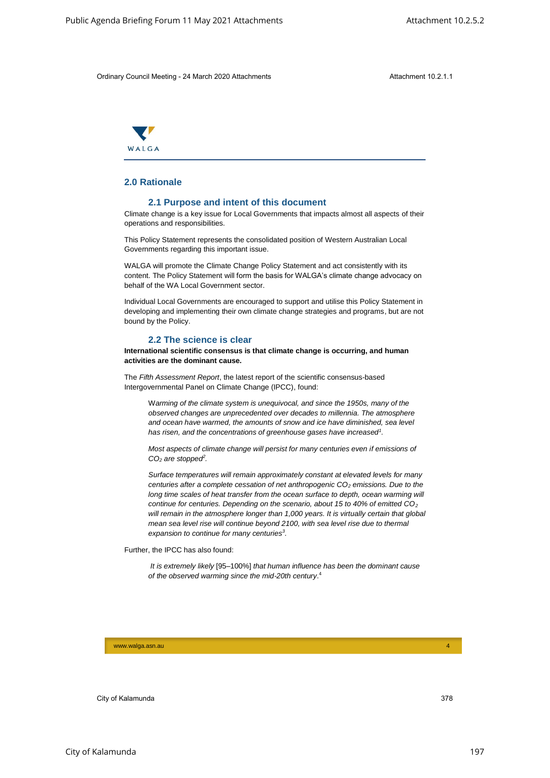

# **2.0 Rationale**

#### **2.1 Purpose and intent of this document**

Climate change is a key issue for Local Governments that impacts almost all aspects of their operations and responsibilities.

This Policy Statement represents the consolidated position of Western Australian Local Governments regarding this important issue.

WALGA will promote the Climate Change Policy Statement and act consistently with its content. The Policy Statement will form the basis for WALGA's climate change advocacy on behalf of the WA Local Government sector.

Individual Local Governments are encouraged to support and utilise this Policy Statement in developing and implementing their own climate change strategies and programs, but are not bound by the Policy.

### **2.2 The science is clear**

**International scientific consensus is that climate change is occurring, and human activities are the dominant cause.**

The *Fifth Assessment Report*, the latest report of the scientific consensus-based Intergovernmental Panel on Climate Change (IPCC), found:

W*arming of the climate system is unequivocal, and since the 1950s, many of the observed changes are unprecedented over decades to millennia. The atmosphere and ocean have warmed, the amounts of snow and ice have diminished, sea level has risen, and the concentrations of greenhouse gases have increased<sup>1</sup> .*

*Most aspects of climate change will persist for many centuries even if emissions of CO<sup>2</sup> are stopped<sup>2</sup> .*

*Surface temperatures will remain approximately constant at elevated levels for many centuries after a complete cessation of net anthropogenic CO<sup>2</sup> emissions. Due to the long time scales of heat transfer from the ocean surface to depth, ocean warming will continue for centuries. Depending on the scenario, about 15 to 40% of emitted CO<sup>2</sup> will remain in the atmosphere longer than 1,000 years. It is virtually certain that global mean sea level rise will continue beyond 2100, with sea level rise due to thermal expansion to continue for many centuries<sup>3</sup> .* Alter Agenda Brending Forum 11 May 2021 Attachments 10.2.5.2<br>
Chili way Chand Madrid - 24 Marsil - 2000 Attachments<br>
26 Public Agenda Briefing Forum 11 May 2021 Attachments<br>
26 Public Agenda Briefing Forum 11 May 2021 Att

Further, the IPCC has also found:

*It is extremely likely* [95–100%] *that human influence has been the dominant cause of the observed warming since the mid-20th century*. 4

www.walga.asn.au 44 Australia and authority and authority and authority and authority and authority and authority and 44 Australia and 44 Australia and 44 Australia and 44 Australia and 44 Australia and 44 Australia and 44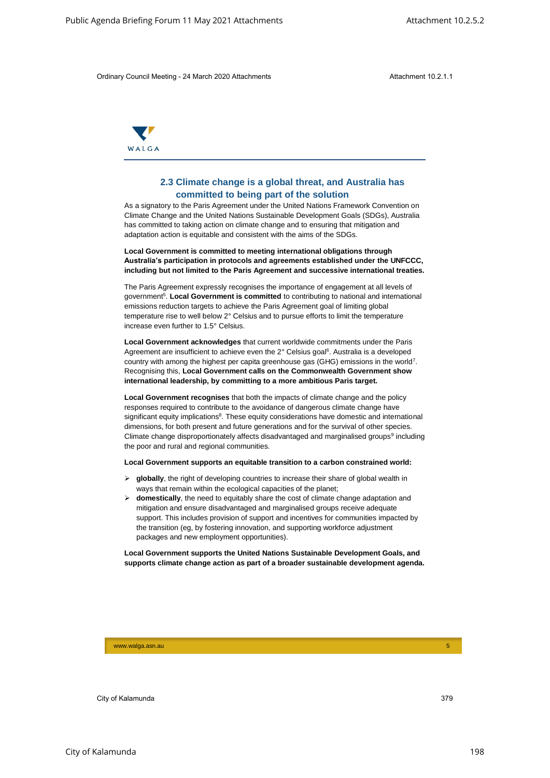

# **2.3 Climate change is a global threat, and Australia has committed to being part of the solution**

As a signatory to the Paris Agreement under the United Nations Framework Convention on Climate Change and the United Nations Sustainable Development Goals (SDGs), Australia has committed to taking action on climate change and to ensuring that mitigation and adaptation action is equitable and consistent with the aims of the SDGs.

**Local Government is committed to meeting international obligations through Australia's participation in protocols and agreements established under the UNFCCC, including but not limited to the Paris Agreement and successive international treaties.**

The Paris Agreement expressly recognises the importance of engagement at all levels of government<sup>5</sup>. Local Government is committed to contributing to national and international emissions reduction targets to achieve the Paris Agreement goal of limiting global temperature rise to well below 2° Celsius and to pursue efforts to limit the temperature increase even further to 1.5° Celsius.

**Local Government acknowledges** that current worldwide commitments under the Paris Agreement are insufficient to achieve even the 2° Celsius goal<sup>6</sup>. Australia is a developed country with among the highest per capita greenhouse gas (GHG) emissions in the world<sup>7</sup>. Recognising this, **Local Government calls on the Commonwealth Government show international leadership, by committing to a more ambitious Paris target.**

**Local Government recognises** that both the impacts of climate change and the policy responses required to contribute to the avoidance of dangerous climate change have significant equity implications<sup>8</sup>. These equity considerations have domestic and international dimensions, for both present and future generations and for the survival of other species. Climate change disproportionately affects disadvantaged and marginalised groups<sup>9</sup> including the poor and rural and regional communities. Alamund Briefing Forum 11 May 2021 Attachments Attachments Attachment 10.2.5.2<br>
Chili way Chand Markul y 34 Marsil 2001 Attachments<br>
2.3 Climate change is a global throug, and Australia has<br>
2.2 Climate change is a global

#### **Local Government supports an equitable transition to a carbon constrained world:**

- **globally**, the right of developing countries to increase their share of global wealth in ways that remain within the ecological capacities of the planet;
- $\triangleright$  **domestically**, the need to equitably share the cost of climate change adaptation and mitigation and ensure disadvantaged and marginalised groups receive adequate support. This includes provision of support and incentives for communities impacted by the transition (eg, by fostering innovation, and supporting workforce adjustment packages and new employment opportunities).

**Local Government supports the United Nations Sustainable Development Goals, and supports climate change action as part of a broader sustainable development agenda.** 

www.walga.asn.au 5 September 2008 - 1986 - 1987 - 1988 - 1988 - 1988 - 1988 - 1988 - 1988 - 1988 - 1988 - 1988<br>Digwyddiadau 1989 - 1989 - 1989 - 1989 - 1989 - 1989 - 1989 - 1989 - 1989 - 1989 - 1989 - 1989 - 1989 - 1989 -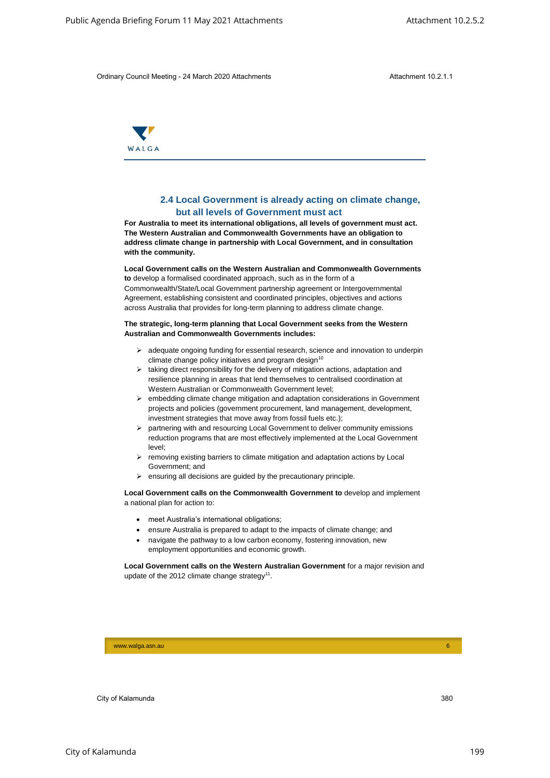

# **2.4 Local Government is already acting on climate change, but all levels of Government must act**

**For Australia to meet its international obligations, all levels of government must act. The Western Australian and Commonwealth Governments have an obligation to address climate change in partnership with Local Government, and in consultation with the community.** Alalic Agenda Bren<sup>t</sup>ing Forum 11 May 2021 Attachments Association on Clinical Constraines 10.2.5.1<br>
Chili agenda Briefing - 24 Machi 2021 Attachment is already acting on climate shanges.<br>
The University of Action 2021 At

#### **Local Government calls on the Western Australian and Commonwealth Governments**

**to** develop a formalised coordinated approach, such as in the form of a Commonwealth/State/Local Government partnership agreement or Intergovernmental Agreement, establishing consistent and coordinated principles, objectives and actions across Australia that provides for long-term planning to address climate change.

#### **The strategic, long-term planning that Local Government seeks from the Western Australian and Commonwealth Governments includes:**

- $\geq$  adequate ongoing funding for essential research, science and innovation to underpin climate change policy initiatives and program design $10$
- $\triangleright$  taking direct responsibility for the delivery of mitigation actions, adaptation and resilience planning in areas that lend themselves to centralised coordination at Western Australian or Commonwealth Government level;
- $\triangleright$  embedding climate change mitigation and adaptation considerations in Government projects and policies (government procurement, land management, development, investment strategies that move away from fossil fuels etc.);
- $\triangleright$  partnering with and resourcing Local Government to deliver community emissions reduction programs that are most effectively implemented at the Local Government level;
- $\triangleright$  removing existing barriers to climate mitigation and adaptation actions by Local Government; and
- ensuring all decisions are guided by the precautionary principle.

**Local Government calls on the Commonwealth Government to** develop and implement a national plan for action to:

- meet Australia's international obligations;
- ensure Australia is prepared to adapt to the impacts of climate change; and
- navigate the pathway to a low carbon economy, fostering innovation, new employment opportunities and economic growth.

**Local Government calls on the Western Australian Government** for a major revision and update of the 2012 climate change strategy<sup>11</sup>.

www.walga.asn.au 6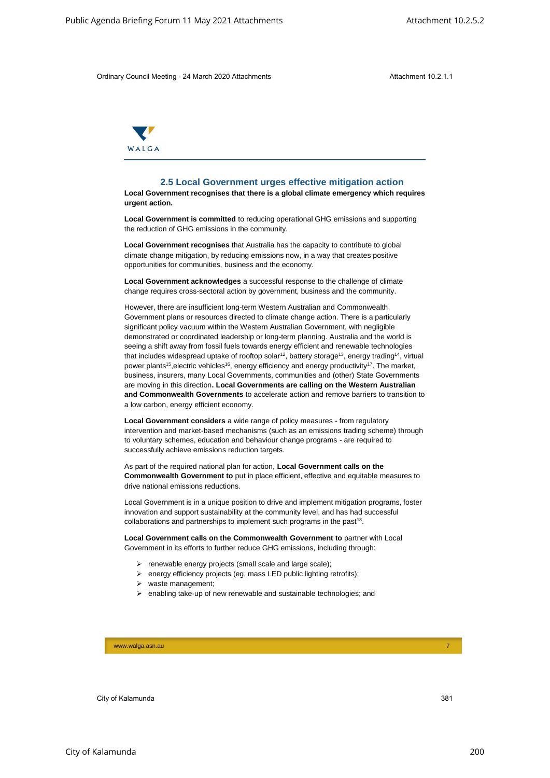

#### **2.5 Local Government urges effective mitigation action**

**Local Government recognises that there is a global climate emergency which requires urgent action.** 

**Local Government is committed** to reducing operational GHG emissions and supporting the reduction of GHG emissions in the community.

**Local Government recognises** that Australia has the capacity to contribute to global climate change mitigation, by reducing emissions now, in a way that creates positive opportunities for communities, business and the economy.

**Local Government acknowledges** a successful response to the challenge of climate change requires cross-sectoral action by government, business and the community.

However, there are insufficient long-term Western Australian and Commonwealth Government plans or resources directed to climate change action. There is a particularly significant policy vacuum within the Western Australian Government, with negligible demonstrated or coordinated leadership or long-term planning. Australia and the world is seeing a shift away from fossil fuels towards energy efficient and renewable technologies that includes widespread uptake of rooftop solar<sup>12</sup>, battery storage<sup>13</sup>, energy trading<sup>14</sup>, virtual power plants<sup>15</sup>, electric vehicles<sup>16</sup>, energy efficiency and energy productivity<sup>17</sup>. The market, business, insurers, many Local Governments, communities and (other) State Governments are moving in this direction**. Local Governments are calling on the Western Australian and Commonwealth Governments** to accelerate action and remove barriers to transition to a low carbon, energy efficient economy. Alamunda Sincering Forum 11 May 2021 Attachments Attachment 10.25.2<br>
Chili way Chund Marking - 24 Marsin -2002 Attachments<br>
2.5. Local Government trigges effective militigation action<br>
Local Government trigges effective m

**Local Government considers** a wide range of policy measures - from regulatory intervention and market-based mechanisms (such as an emissions trading scheme) through to voluntary schemes, education and behaviour change programs - are required to successfully achieve emissions reduction targets.

As part of the required national plan for action, **Local Government calls on the Commonwealth Government to** put in place efficient, effective and equitable measures to drive national emissions reductions.

Local Government is in a unique position to drive and implement mitigation programs, foster innovation and support sustainability at the community level, and has had successful collaborations and partnerships to implement such programs in the past<sup>18</sup>.

**Local Government calls on the Commonwealth Government to** partner with Local Government in its efforts to further reduce GHG emissions, including through:

- $\triangleright$  renewable energy projects (small scale and large scale);
- $\triangleright$  energy efficiency projects (eg, mass LED public lighting retrofits);
- $\triangleright$  waste management;
- $\triangleright$  enabling take-up of new renewable and sustainable technologies; and

www.walga.asn.au 7 - 200 meters and 200 meters and 200 meters and 200 meters and 200 meters and 200 meters and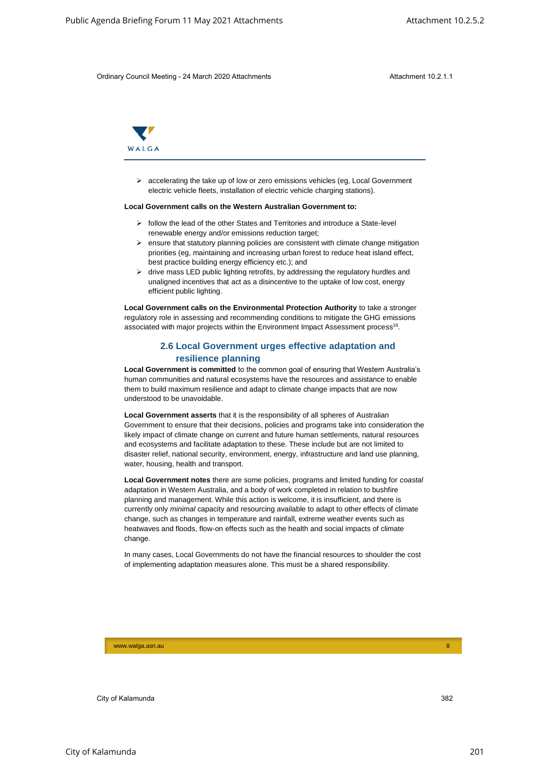

 accelerating the take up of low or zero emissions vehicles (eg, Local Government electric vehicle fleets, installation of electric vehicle charging stations).

#### **Local Government calls on the Western Australian Government to:**

- $\triangleright$  follow the lead of the other States and Territories and introduce a State-level renewable energy and/or emissions reduction target;
- $\triangleright$  ensure that statutory planning policies are consistent with climate change mitigation priorities (eg, maintaining and increasing urban forest to reduce heat island effect, best practice building energy efficiency etc.); and
- $\triangleright$  drive mass LED public lighting retrofits, by addressing the regulatory hurdles and unaligned incentives that act as a disincentive to the uptake of low cost, energy efficient public lighting.

**Local Government calls on the Environmental Protection Authority** to take a stronger regulatory role in assessing and recommending conditions to mitigate the GHG emissions associated with major projects within the Environment Impact Assessment process<sup>19</sup>.

# **2.6 Local Government urges effective adaptation and resilience planning**

**Local Government is committed** to the common goal of ensuring that Western Australia's human communities and natural ecosystems have the resources and assistance to enable them to build maximum resilience and adapt to climate change impacts that are now understood to be unavoidable.

**Local Government asserts** that it is the responsibility of all spheres of Australian Government to ensure that their decisions, policies and programs take into consideration the likely impact of climate change on current and future human settlements, natural resources and ecosystems and facilitate adaptation to these. These include but are not limited to disaster relief, national security, environment, energy, infrastructure and land use planning, water, housing, health and transport.

**Local Government notes** there are some policies, programs and limited funding for *coastal* adaptation in Western Australia, and a body of work completed in relation to bushfire planning and management. While this action is welcome, it is insufficient, and there is currently only *minimal* capacity and resourcing available to adapt to other effects of climate change, such as changes in temperature and rainfall, extreme weather events such as heatwaves and floods, flow-on effects such as the health and social impacts of climate change. Alalic Agenda Briefing Forum 11 May 2021 Attachments Attachments Attachment 10.25.1<br>
Chili way Chund Munding -24 Mundi 2001 Attachments<br>
24 Public Agenda Britain -24 Munding -24 Munding -24 Munding -24<br>
26 Public Agenda B

In many cases, Local Governments do not have the financial resources to shoulder the cost of implementing adaptation measures alone. This must be a shared responsibility.

www.walga.asn.au 8 | 2002 | 2003 | 2004 | 2005 | 2006 | 2006 | 2006 | 2007 | 2008 | 2008 | 2008 | 2008 | 2008 |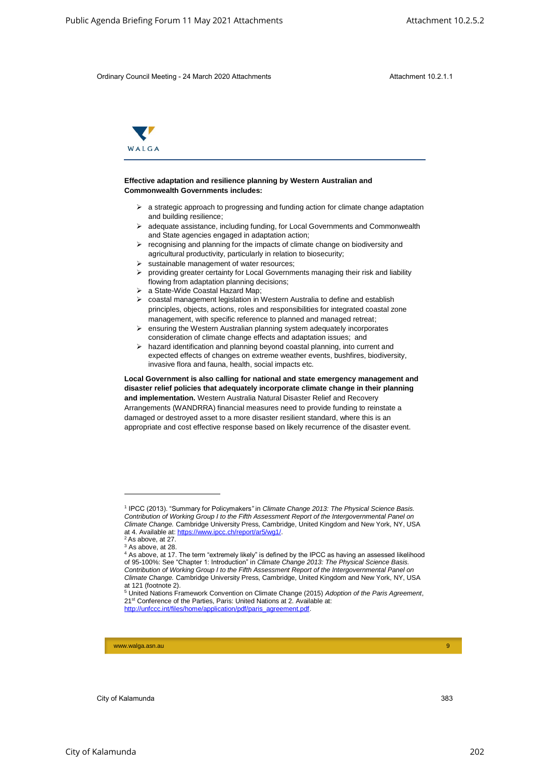

#### **Effective adaptation and resilience planning by Western Australian and Commonwealth Governments includes:**

- $\triangleright$  a strategic approach to progressing and funding action for climate change adaptation and building resilience;
- adequate assistance, including funding, for Local Governments and Commonwealth and State agencies engaged in adaptation action;
- $\triangleright$  recognising and planning for the impacts of climate change on biodiversity and agricultural productivity, particularly in relation to biosecurity;
- $\triangleright$  sustainable management of water resources;
- providing greater certainty for Local Governments managing their risk and liability flowing from adaptation planning decisions;
- a State-Wide Coastal Hazard Map;
- coastal management legislation in Western Australia to define and establish principles, objects, actions, roles and responsibilities for integrated coastal zone management, with specific reference to planned and managed retreat;
- ensuring the Western Australian planning system adequately incorporates consideration of climate change effects and adaptation issues; and
- $\triangleright$  hazard identification and planning beyond coastal planning, into current and expected effects of changes on extreme weather events, bushfires, biodiversity, invasive flora and fauna, health, social impacts etc.

**Local Government is also calling for national and state emergency management and disaster relief policies that adequately incorporate climate change in their planning and implementation.** Western Australia Natural Disaster Relief and Recovery Arrangements (WANDRRA) financial measures need to provide funding to reinstate a damaged or destroyed asset to a more disaster resilient standard, where this is an appropriate and cost effective response based on likely recurrence of the disaster event. Alamund Briefing Forum 11 May 2021 Attachments Attachment 10.25.2<br>
Chili way Church Made in 2014 Attachments Attachments Attachment 10.25.1<br>
The China addepted to Agenda Briefing Forum 11 May 2022 Attachments Attachment 10

-

www.walga.asn.au 9 | 2002 | 2003 | 2004 | 2005 | 2006 | 2007 | 2008 | 2009 | 2009 | 2009 | 2009 | 2009 | 2009 |

<sup>1</sup> IPCC (2013). "Summary for Policymakers*"* in *Climate Change 2013: The Physical Science Basis. Contribution of Working Group I to the Fifth Assessment Report of the Intergovernmental Panel on Climate Change.* Cambridge University Press, Cambridge, United Kingdom and New York, NY, USA at 4. Available at: https://www.ipcc.ch/report/ar5/wg1/.

 $2$  As above, at 27.

<sup>&</sup>lt;sup>3</sup> As above, at 28.

<sup>4</sup> As above, at 17. The term "extremely likely" is defined by the IPCC as having an assessed likelihood of 95-100%: See "Chapter 1: Introduction" in *Climate Change 2013: The Physical Science Basis. Contribution of Working Group I to the Fifth Assessment Report of the Intergovernmental Panel on Climate Change.* Cambridge University Press, Cambridge, United Kingdom and New York, NY, USA at 121 (footnote 2).

<sup>5</sup> United Nations Framework Convention on Climate Change (2015) *Adoption of the Paris Agreement*, 21st Conference of the Parties, Paris: United Nations at 2. Available at: http://unfccc.int/files/home/application/pdf/paris\_agreement.pdf.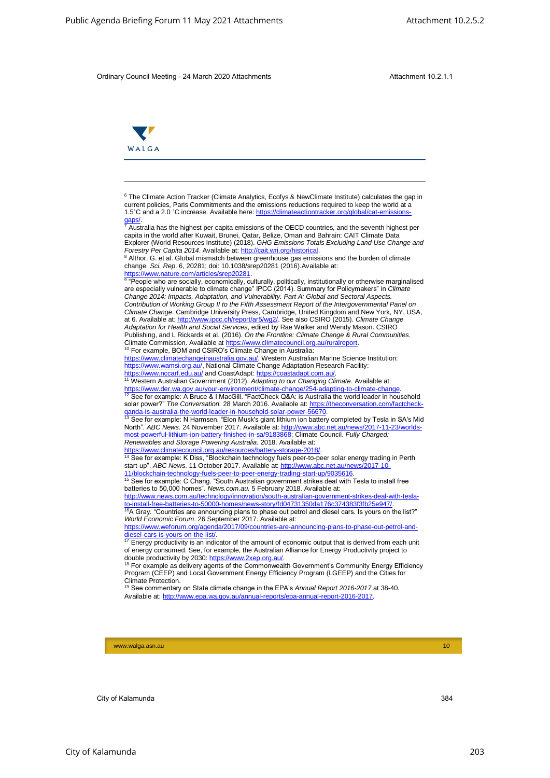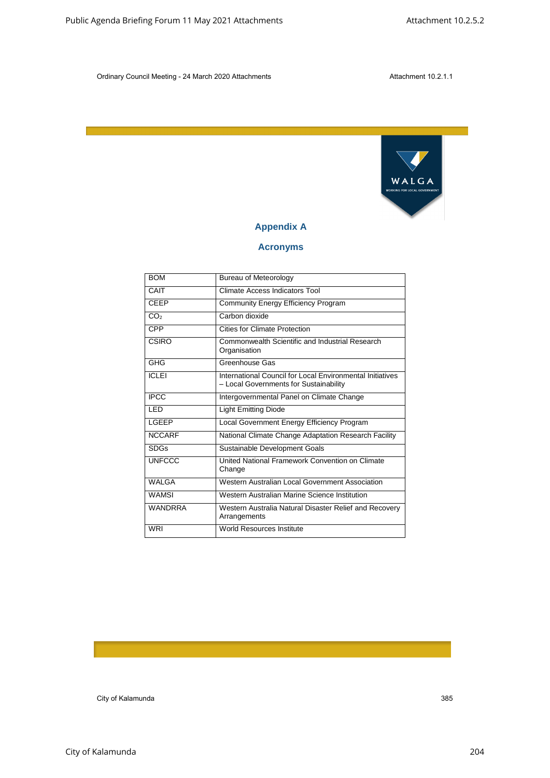

# **Appendix A**

# **Acronyms**

| <b>BOM</b><br>CAIT<br><b>CEEP</b><br>CO <sub>2</sub><br><b>CPP</b><br><b>CSIRO</b> | Carbon dioxide | <b>Appendix A</b><br><b>Acronyms</b><br><b>Bureau of Meteorology</b><br><b>Climate Access Indicators Tool</b> | WALGA<br>WORKING FOR LOCAL GOVERNMENT |
|------------------------------------------------------------------------------------|----------------|---------------------------------------------------------------------------------------------------------------|---------------------------------------|
|                                                                                    |                |                                                                                                               |                                       |
|                                                                                    |                |                                                                                                               |                                       |
|                                                                                    |                |                                                                                                               |                                       |
|                                                                                    |                |                                                                                                               |                                       |
|                                                                                    |                |                                                                                                               |                                       |
|                                                                                    |                |                                                                                                               |                                       |
|                                                                                    |                |                                                                                                               |                                       |
|                                                                                    |                |                                                                                                               |                                       |
|                                                                                    |                | <b>Community Energy Efficiency Program</b>                                                                    |                                       |
|                                                                                    |                |                                                                                                               |                                       |
|                                                                                    |                | <b>Cities for Climate Protection</b>                                                                          |                                       |
|                                                                                    | Organisation   | Commonwealth Scientific and Industrial Research                                                               |                                       |
| GHG                                                                                | Greenhouse Gas |                                                                                                               |                                       |
| <b>ICLEI</b>                                                                       |                | International Council for Local Environmental Initiatives<br>- Local Governments for Sustainability           |                                       |
| <b>IPCC</b>                                                                        |                | Intergovernmental Panel on Climate Change                                                                     |                                       |
| LED                                                                                |                | <b>Light Emitting Diode</b>                                                                                   |                                       |
| LGEEP                                                                              |                | Local Government Energy Efficiency Program                                                                    |                                       |
| <b>NCCARF</b>                                                                      |                | National Climate Change Adaptation Research Facility                                                          |                                       |
| <b>SDGs</b>                                                                        |                | Sustainable Development Goals                                                                                 |                                       |
| <b>UNFCCC</b>                                                                      | Change         | United National Framework Convention on Climate                                                               |                                       |
| <b>WALGA</b>                                                                       |                | Western Australian Local Government Association                                                               |                                       |
| <b>WAMSI</b>                                                                       |                |                                                                                                               |                                       |
|                                                                                    |                | Western Australian Marine Science Institution                                                                 |                                       |
| WANDRRA                                                                            |                | Western Australia Natural Disaster Relief and Recovery                                                        |                                       |
| <b>WRI</b>                                                                         | Arrangements   | World Resources Institute                                                                                     |                                       |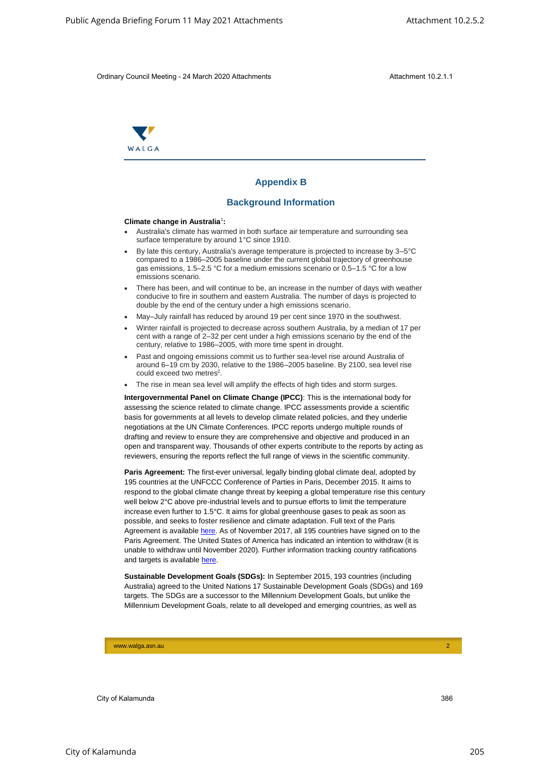

# **Appendix B**

#### **Background Information**

#### **Climate change in Australia**<sup>1</sup> **:**

- Australia's climate has warmed in both surface air temperature and surrounding sea surface temperature by around 1°C since 1910.
- By late this century, Australia's average temperature is projected to increase by 3–5°C compared to a 1986–2005 baseline under the current global trajectory of greenhouse gas emissions, 1.5–2.5 °C for a medium emissions scenario or 0.5–1.5 °C for a low emissions scenario.
- There has been, and will continue to be, an increase in the number of days with weather conducive to fire in southern and eastern Australia. The number of days is projected to double by the end of the century under a high emissions scenario.
- May–July rainfall has reduced by around 19 per cent since 1970 in the southwest.
- Winter rainfall is projected to decrease across southern Australia, by a median of 17 per cent with a range of 2–32 per cent under a high emissions scenario by the end of the century, relative to 1986–2005, with more time spent in drought.
- Past and ongoing emissions commit us to further sea-level rise around Australia of around 6–19 cm by 2030, relative to the 1986–2005 baseline. By 2100, sea level rise could exceed two metres<sup>2</sup>.
- The rise in mean sea level will amplify the effects of high tides and storm surges.

**Intergovernmental Panel on Climate Change (IPCC)**: This is the international body for assessing the science related to climate change. IPCC assessments provide a scientific basis for governments at all levels to develop climate related policies, and they underlie negotiations at the UN Climate Conferences. IPCC reports undergo multiple rounds of drafting and review to ensure they are comprehensive and objective and produced in an open and transparent way. Thousands of other experts contribute to the reports by acting as reviewers, ensuring the reports reflect the full range of views in the scientific community.

Paris Agreement: The first-ever universal, legally binding global climate deal, adopted by 195 countries at the UNFCCC Conference of Parties in Paris, December 2015. It aims to respond to the global climate change threat by keeping a global temperature rise this century well below 2°C above pre-industrial levels and to pursue efforts to limit the temperature increase even further to 1.5°C. It aims for global greenhouse gases to peak as soon as possible, and seeks to foster resilience and climate adaptation. Full text of the Paris Agreement is available here. As of November 2017, all 195 countries have signed on to the Paris Agreement. The United States of America has indicated an intention to withdraw (it is unable to withdraw until November 2020). Further information tracking country ratifications and targets is available here. Alamund Briefing Forum 11 May 2021 Attachments Attachment 10.25.2<br>
Chilib any China Munding 19.4 Marsi 2006 Attachments<br>
Stackground Information<br>
Climate change in Agenda Briefing Countering Forum 10.2.5.2<br>
Climate change

**Sustainable Development Goals (SDGs):** In September 2015, 193 countries (including Australia) agreed to the United Nations 17 Sustainable Development Goals (SDGs) and 169 targets. The SDGs are a successor to the Millennium Development Goals, but unlike the Millennium Development Goals, relate to all developed and emerging countries, as well as

www.walga.asn.au 2007 - 2008 - 2008 - 2008 - 2008 - 2008 - 2008 - 2008 - 2008 - 2008 - 2008 - 2008 - 2008 - 20<br>2008 - 2008 - 2008 - 2008 - 2008 - 2008 - 2008 - 2008 - 2008 - 2008 - 2008 - 2008 - 2008 - 2008 - 2008 - 2008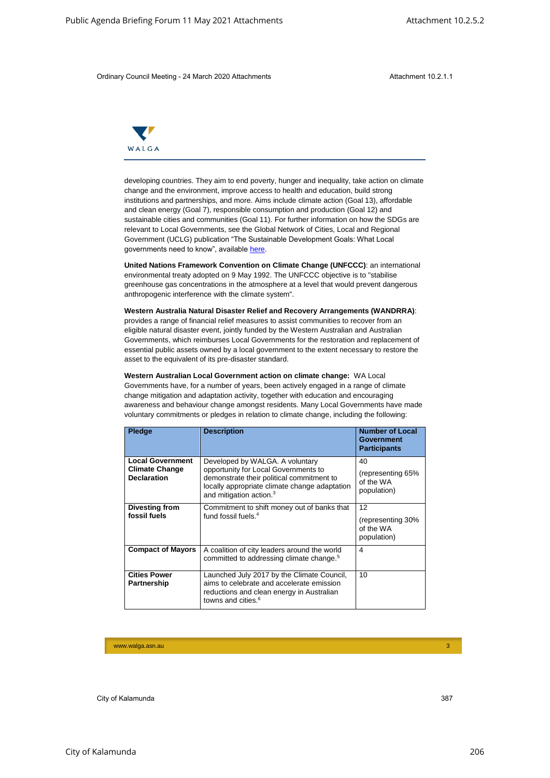

|                                       |                                                  | Ordinary Council Meeting - 24 March 2020 Attachments                                                                                                                                                                                                                                                                                                                                                                                                                                                                                                                                                                                                                                | Attachment 10.2.1.1                                  |  |
|---------------------------------------|--------------------------------------------------|-------------------------------------------------------------------------------------------------------------------------------------------------------------------------------------------------------------------------------------------------------------------------------------------------------------------------------------------------------------------------------------------------------------------------------------------------------------------------------------------------------------------------------------------------------------------------------------------------------------------------------------------------------------------------------------|------------------------------------------------------|--|
| WALGA                                 |                                                  |                                                                                                                                                                                                                                                                                                                                                                                                                                                                                                                                                                                                                                                                                     |                                                      |  |
|                                       |                                                  | developing countries. They aim to end poverty, hunger and inequality, take action on climate<br>change and the environment, improve access to health and education, build strong<br>institutions and partnerships, and more. Aims include climate action (Goal 13), affordable<br>and clean energy (Goal 7), responsible consumption and production (Goal 12) and<br>sustainable cities and communities (Goal 11). For further information on how the SDGs are<br>relevant to Local Governments, see the Global Network of Cities, Local and Regional<br>Government (UCLG) publication "The Sustainable Development Goals: What Local<br>governments need to know", available here. |                                                      |  |
|                                       |                                                  | United Nations Framework Convention on Climate Change (UNFCCC): an international<br>environmental treaty adopted on 9 May 1992. The UNFCCC objective is to "stabilise<br>greenhouse gas concentrations in the atmosphere at a level that would prevent dangerous<br>anthropogenic interference with the climate system".                                                                                                                                                                                                                                                                                                                                                            |                                                      |  |
|                                       |                                                  | Western Australia Natural Disaster Relief and Recovery Arrangements (WANDRRA):<br>provides a range of financial relief measures to assist communities to recover from an<br>eligible natural disaster event, jointly funded by the Western Australian and Australian<br>Governments, which reimburses Local Governments for the restoration and replacement of                                                                                                                                                                                                                                                                                                                      |                                                      |  |
|                                       |                                                  | essential public assets owned by a local government to the extent necessary to restore the<br>asset to the equivalent of its pre-disaster standard.                                                                                                                                                                                                                                                                                                                                                                                                                                                                                                                                 |                                                      |  |
|                                       |                                                  | Western Australian Local Government action on climate change: WA Local<br>Governments have, for a number of years, been actively engaged in a range of climate<br>change mitigation and adaptation activity, together with education and encouraging<br>awareness and behaviour change amongst residents. Many Local Governments have made<br>voluntary commitments or pledges in relation to climate change, including the following:                                                                                                                                                                                                                                              |                                                      |  |
| <b>Pledge</b>                         |                                                  | <b>Description</b>                                                                                                                                                                                                                                                                                                                                                                                                                                                                                                                                                                                                                                                                  | Number of Local<br>Government<br><b>Participants</b> |  |
| <b>Declaration</b>                    | <b>Local Government</b><br><b>Climate Change</b> | Developed by WALGA. A voluntary<br>opportunity for Local Governments to<br>demonstrate their political commitment to<br>locally appropriate climate change adaptation<br>and mitigation action. <sup>3</sup>                                                                                                                                                                                                                                                                                                                                                                                                                                                                        | 40<br>(representing 65%<br>of the WA<br>population)  |  |
| <b>Divesting from</b><br>fossil fuels |                                                  | Commitment to shift money out of banks that<br>fund fossil fuels. <sup>4</sup>                                                                                                                                                                                                                                                                                                                                                                                                                                                                                                                                                                                                      | 12<br>(representing 30%<br>of the WA<br>population)  |  |
|                                       | <b>Compact of Mayors</b>                         | A coalition of city leaders around the world<br>committed to addressing climate change. <sup>5</sup>                                                                                                                                                                                                                                                                                                                                                                                                                                                                                                                                                                                | $\overline{4}$                                       |  |
| <b>Cities Power</b><br>Partnership    |                                                  | Launched July 2017 by the Climate Council,<br>aims to celebrate and accelerate emission<br>reductions and clean energy in Australian<br>towns and cities. <sup>6</sup>                                                                                                                                                                                                                                                                                                                                                                                                                                                                                                              | 10                                                   |  |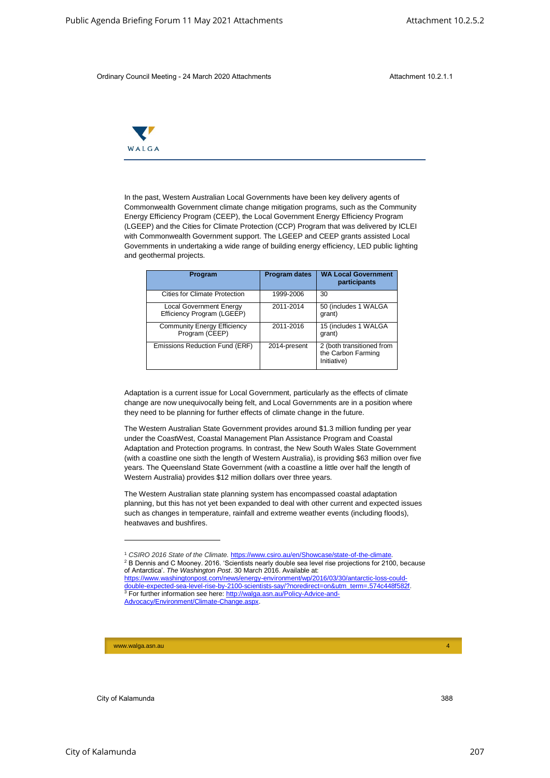

|       | Ordinary Council Meeting - 24 March 2020 Attachments                                                                                                                                                                                                                                                                                                                                                                                                                                                                                                                                                                                                                                                                                                                                                                                                                                                                                                                                                                                                                                                                     |                      | Attachment 10.2.1.1                                            |
|-------|--------------------------------------------------------------------------------------------------------------------------------------------------------------------------------------------------------------------------------------------------------------------------------------------------------------------------------------------------------------------------------------------------------------------------------------------------------------------------------------------------------------------------------------------------------------------------------------------------------------------------------------------------------------------------------------------------------------------------------------------------------------------------------------------------------------------------------------------------------------------------------------------------------------------------------------------------------------------------------------------------------------------------------------------------------------------------------------------------------------------------|----------------------|----------------------------------------------------------------|
|       |                                                                                                                                                                                                                                                                                                                                                                                                                                                                                                                                                                                                                                                                                                                                                                                                                                                                                                                                                                                                                                                                                                                          |                      |                                                                |
| WALGA |                                                                                                                                                                                                                                                                                                                                                                                                                                                                                                                                                                                                                                                                                                                                                                                                                                                                                                                                                                                                                                                                                                                          |                      |                                                                |
|       | In the past, Western Australian Local Governments have been key delivery agents of<br>Commonwealth Government climate change mitigation programs, such as the Community<br>Energy Efficiency Program (CEEP), the Local Government Energy Efficiency Program<br>(LGEEP) and the Cities for Climate Protection (CCP) Program that was delivered by ICLEI<br>with Commonwealth Government support. The LGEEP and CEEP grants assisted Local<br>Governments in undertaking a wide range of building energy efficiency, LED public lighting<br>and geothermal projects.                                                                                                                                                                                                                                                                                                                                                                                                                                                                                                                                                       |                      |                                                                |
|       | Program                                                                                                                                                                                                                                                                                                                                                                                                                                                                                                                                                                                                                                                                                                                                                                                                                                                                                                                                                                                                                                                                                                                  | <b>Program dates</b> | <b>WA Local Government</b><br>participants                     |
|       | <b>Cities for Climate Protection</b>                                                                                                                                                                                                                                                                                                                                                                                                                                                                                                                                                                                                                                                                                                                                                                                                                                                                                                                                                                                                                                                                                     | 1999-2006            | 30                                                             |
|       | <b>Local Government Energy</b><br>Efficiency Program (LGEEP)                                                                                                                                                                                                                                                                                                                                                                                                                                                                                                                                                                                                                                                                                                                                                                                                                                                                                                                                                                                                                                                             | 2011-2014            | 50 (includes 1 WALGA<br>grant)                                 |
|       | <b>Community Energy Efficiency</b><br>Program (CEEP)                                                                                                                                                                                                                                                                                                                                                                                                                                                                                                                                                                                                                                                                                                                                                                                                                                                                                                                                                                                                                                                                     | 2011-2016            | 15 (includes 1 WALGA<br>grant)                                 |
|       | Emissions Reduction Fund (ERF)                                                                                                                                                                                                                                                                                                                                                                                                                                                                                                                                                                                                                                                                                                                                                                                                                                                                                                                                                                                                                                                                                           | 2014-present         | 2 (both transitioned from<br>the Carbon Farming<br>Initiative) |
|       | Adaptation is a current issue for Local Government, particularly as the effects of climate<br>change are now unequivocally being felt, and Local Governments are in a position where<br>they need to be planning for further effects of climate change in the future.<br>The Western Australian State Government provides around \$1.3 million funding per year<br>under the CoastWest, Coastal Management Plan Assistance Program and Coastal<br>Adaptation and Protection programs. In contrast, the New South Wales State Government<br>(with a coastline one sixth the length of Western Australia), is providing \$63 million over five<br>years. The Queensland State Government (with a coastline a little over half the length of<br>Western Australia) provides \$12 million dollars over three years.<br>The Western Australian state planning system has encompassed coastal adaptation<br>planning, but this has not yet been expanded to deal with other current and expected issues<br>such as changes in temperature, rainfall and extreme weather events (including floods),<br>heatwaves and bushfires. |                      |                                                                |
|       |                                                                                                                                                                                                                                                                                                                                                                                                                                                                                                                                                                                                                                                                                                                                                                                                                                                                                                                                                                                                                                                                                                                          |                      |                                                                |

<sup>1</sup> *CSIRO 2016 State of the Climate.* https://www.csiro.au/en/Showcase/state-of-the-climate. <sup>2</sup> B Dennis and C Mooney. 2016. 'Scientists nearly double sea level rise projections for 2100, because of Antarctica'. *The Washington Post*. 30 March 2016. Available at:

https://www.washingtonpost.com/news/energy-environment/wp/2016/03/30/antarctic-loss-couldouble-expected-sea-level-rise-by-2100-scientists-say/?noredirect=on&utm\_term=.574c448f582 <sup>3</sup> For further information see here: http://walga.asn.au/Policy-Advice-and-Advocacy/Environment/Climate-Change.aspx.